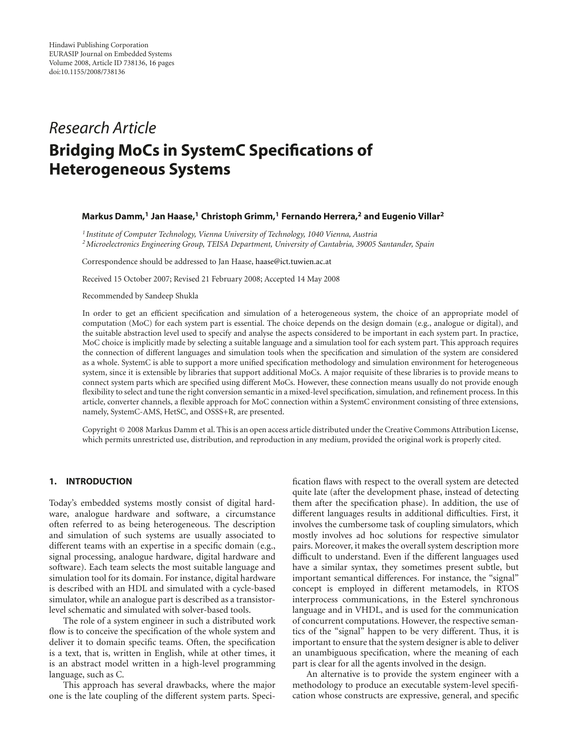# *Research Article* **Bridging MoCs in SystemC Specifications of Heterogeneous Systems**

# **Markus Damm,1 Jan Haase,1 Christoph Grimm,1 Fernando Herrera,2 and Eugenio Villar2**

*<sup>1</sup> Institute of Computer Technology, Vienna University of Technology, 1040 Vienna, Austria 2Microelectronics Engineering Group, TEISA Department, University of Cantabria, 39005 Santander, Spain*

Correspondence should be addressed to Jan Haase, haase@ict.tuwien.ac.at

Received 15 October 2007; Revised 21 February 2008; Accepted 14 May 2008

Recommended by Sandeep Shukla

In order to get an efficient specification and simulation of a heterogeneous system, the choice of an appropriate model of computation (MoC) for each system part is essential. The choice depends on the design domain (e.g., analogue or digital), and the suitable abstraction level used to specify and analyse the aspects considered to be important in each system part. In practice, MoC choice is implicitly made by selecting a suitable language and a simulation tool for each system part. This approach requires the connection of different languages and simulation tools when the specification and simulation of the system are considered as a whole. SystemC is able to support a more unified specification methodology and simulation environment for heterogeneous system, since it is extensible by libraries that support additional MoCs. A major requisite of these libraries is to provide means to connect system parts which are specified using different MoCs. However, these connection means usually do not provide enough flexibility to select and tune the right conversion semantic in a mixed-level specification, simulation, and refinement process. In this article, converter channels, a flexible approach for MoC connection within a SystemC environment consisting of three extensions, namely, SystemC-AMS, HetSC, and OSSS+R, are presented.

Copyright © 2008 Markus Damm et al. This is an open access article distributed under the Creative Commons Attribution License, which permits unrestricted use, distribution, and reproduction in any medium, provided the original work is properly cited.

# **1. INTRODUCTION**

Today's embedded systems mostly consist of digital hardware, analogue hardware and software, a circumstance often referred to as being heterogeneous. The description and simulation of such systems are usually associated to different teams with an expertise in a specific domain (e.g., signal processing, analogue hardware, digital hardware and software). Each team selects the most suitable language and simulation tool for its domain. For instance, digital hardware is described with an HDL and simulated with a cycle-based simulator, while an analogue part is described as a transistorlevel schematic and simulated with solver-based tools.

The role of a system engineer in such a distributed work flow is to conceive the specification of the whole system and deliver it to domain specific teams. Often, the specification is a text, that is, written in English, while at other times, it is an abstract model written in a high-level programming language, such as C.

This approach has several drawbacks, where the major one is the late coupling of the different system parts. Specification flaws with respect to the overall system are detected quite late (after the development phase, instead of detecting them after the specification phase). In addition, the use of different languages results in additional difficulties. First, it involves the cumbersome task of coupling simulators, which mostly involves ad hoc solutions for respective simulator pairs. Moreover, it makes the overall system description more difficult to understand. Even if the different languages used have a similar syntax, they sometimes present subtle, but important semantical differences. For instance, the "signal" concept is employed in different metamodels, in RTOS interprocess communications, in the Esterel synchronous language and in VHDL, and is used for the communication of concurrent computations. However, the respective semantics of the "signal" happen to be very different. Thus, it is important to ensure that the system designer is able to deliver an unambiguous specification, where the meaning of each part is clear for all the agents involved in the design.

An alternative is to provide the system engineer with a methodology to produce an executable system-level specification whose constructs are expressive, general, and specific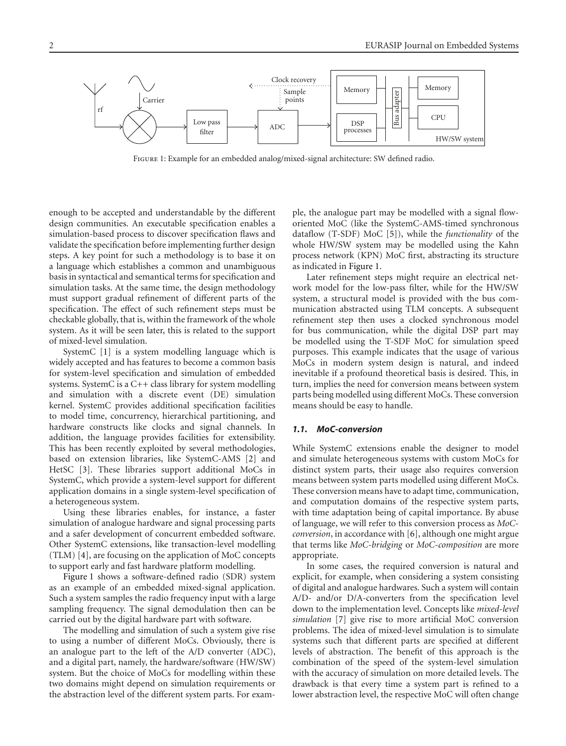

Figure 1: Example for an embedded analog/mixed-signal architecture: SW defined radio.

enough to be accepted and understandable by the different design communities. An executable specification enables a simulation-based process to discover specification flaws and validate the specification before implementing further design steps. A key point for such a methodology is to base it on a language which establishes a common and unambiguous basis in syntactical and semantical terms for specification and simulation tasks. At the same time, the design methodology must support gradual refinement of different parts of the specification. The effect of such refinement steps must be checkable globally, that is, within the framework of the whole system. As it will be seen later, this is related to the support of mixed-level simulation.

SystemC [1] is a system modelling language which is widely accepted and has features to become a common basis for system-level specification and simulation of embedded systems. SystemC is a C++ class library for system modelling and simulation with a discrete event (DE) simulation kernel. SystemC provides additional specification facilities to model time, concurrency, hierarchical partitioning, and hardware constructs like clocks and signal channels. In addition, the language provides facilities for extensibility. This has been recently exploited by several methodologies, based on extension libraries, like SystemC-AMS [2] and HetSC [3]. These libraries support additional MoCs in SystemC, which provide a system-level support for different application domains in a single system-level specification of a heterogeneous system.

Using these libraries enables, for instance, a faster simulation of analogue hardware and signal processing parts and a safer development of concurrent embedded software. Other SystemC extensions, like transaction-level modelling (TLM) [4], are focusing on the application of MoC concepts to support early and fast hardware platform modelling.

Figure 1 shows a software-defined radio (SDR) system as an example of an embedded mixed-signal application. Such a system samples the radio frequency input with a large sampling frequency. The signal demodulation then can be carried out by the digital hardware part with software.

The modelling and simulation of such a system give rise to using a number of different MoCs. Obviously, there is an analogue part to the left of the A/D converter (ADC), and a digital part, namely, the hardware/software (HW/SW) system. But the choice of MoCs for modelling within these two domains might depend on simulation requirements or the abstraction level of the different system parts. For example, the analogue part may be modelled with a signal floworiented MoC (like the SystemC-AMS-timed synchronous dataflow (T-SDF) MoC [5]), while the *functionality* of the whole HW/SW system may be modelled using the Kahn process network (KPN) MoC first, abstracting its structure as indicated in Figure 1.

Later refinement steps might require an electrical network model for the low-pass filter, while for the HW/SW system, a structural model is provided with the bus communication abstracted using TLM concepts. A subsequent refinement step then uses a clocked synchronous model for bus communication, while the digital DSP part may be modelled using the T-SDF MoC for simulation speed purposes. This example indicates that the usage of various MoCs in modern system design is natural, and indeed inevitable if a profound theoretical basis is desired. This, in turn, implies the need for conversion means between system parts being modelled using different MoCs. These conversion means should be easy to handle.

#### *1.1. MoC-conversion*

While SystemC extensions enable the designer to model and simulate heterogeneous systems with custom MoCs for distinct system parts, their usage also requires conversion means between system parts modelled using different MoCs. These conversion means have to adapt time, communication, and computation domains of the respective system parts, with time adaptation being of capital importance. By abuse of language, we will refer to this conversion process as *MoCconversion*, in accordance with [6], although one might argue that terms like *MoC-bridging* or *MoC-composition* are more appropriate.

In some cases, the required conversion is natural and explicit, for example, when considering a system consisting of digital and analogue hardwares. Such a system will contain A/D- and/or D/A-converters from the specification level down to the implementation level. Concepts like *mixed-level simulation* [7] give rise to more artificial MoC conversion problems. The idea of mixed-level simulation is to simulate systems such that different parts are specified at different levels of abstraction. The benefit of this approach is the combination of the speed of the system-level simulation with the accuracy of simulation on more detailed levels. The drawback is that every time a system part is refined to a lower abstraction level, the respective MoC will often change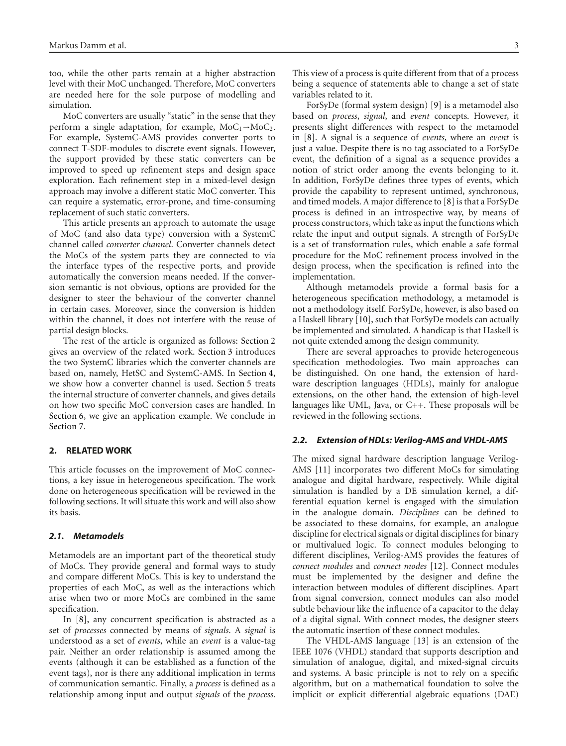too, while the other parts remain at a higher abstraction level with their MoC unchanged. Therefore, MoC converters are needed here for the sole purpose of modelling and simulation.

MoC converters are usually "static" in the sense that they perform a single adaptation, for example,  $MoC_1 \rightarrow MoC_2$ . For example, SystemC-AMS provides converter ports to connect T-SDF-modules to discrete event signals. However, the support provided by these static converters can be improved to speed up refinement steps and design space exploration. Each refinement step in a mixed-level design approach may involve a different static MoC converter. This can require a systematic, error-prone, and time-consuming replacement of such static converters.

This article presents an approach to automate the usage of MoC (and also data type) conversion with a SystemC channel called *converter channel*. Converter channels detect the MoCs of the system parts they are connected to via the interface types of the respective ports, and provide automatically the conversion means needed. If the conversion semantic is not obvious, options are provided for the designer to steer the behaviour of the converter channel in certain cases. Moreover, since the conversion is hidden within the channel, it does not interfere with the reuse of partial design blocks.

The rest of the article is organized as follows: Section 2 gives an overview of the related work. Section 3 introduces the two SystemC libraries which the converter channels are based on, namely, HetSC and SystemC-AMS. In Section 4, we show how a converter channel is used. Section 5 treats the internal structure of converter channels, and gives details on how two specific MoC conversion cases are handled. In Section 6, we give an application example. We conclude in Section 7.

# **2. RELATED WORK**

This article focusses on the improvement of MoC connections, a key issue in heterogeneous specification. The work done on heterogeneous specification will be reviewed in the following sections. It will situate this work and will also show its basis.

#### *2.1. Metamodels*

Metamodels are an important part of the theoretical study of MoCs. They provide general and formal ways to study and compare different MoCs. This is key to understand the properties of each MoC, as well as the interactions which arise when two or more MoCs are combined in the same specification.

In [8], any concurrent specification is abstracted as a set of *processes* connected by means of *signals*. A *signal* is understood as a set of *events*, while an *event* is a value-tag pair. Neither an order relationship is assumed among the events (although it can be established as a function of the event tags), nor is there any additional implication in terms of communication semantic. Finally, a *process* is defined as a relationship among input and output *signals* of the *process*.

This view of a process is quite different from that of a process being a sequence of statements able to change a set of state variables related to it.

ForSyDe (formal system design) [9] is a metamodel also based on *process*, *signal*, and *event* concepts. However, it presents slight differences with respect to the metamodel in [8]. A signal is a sequence of *events*, where an *event* is just a value. Despite there is no tag associated to a ForSyDe event, the definition of a signal as a sequence provides a notion of strict order among the events belonging to it. In addition, ForSyDe defines three types of events, which provide the capability to represent untimed, synchronous, and timed models. A major difference to [8] is that a ForSyDe process is defined in an introspective way, by means of process constructors, which take as input the functions which relate the input and output signals. A strength of ForSyDe is a set of transformation rules, which enable a safe formal procedure for the MoC refinement process involved in the design process, when the specification is refined into the implementation.

Although metamodels provide a formal basis for a heterogeneous specification methodology, a metamodel is not a methodology itself. ForSyDe, however, is also based on a Haskell library [10], such that ForSyDe models can actually be implemented and simulated. A handicap is that Haskell is not quite extended among the design community.

There are several approaches to provide heterogeneous specification methodologies. Two main approaches can be distinguished. On one hand, the extension of hardware description languages (HDLs), mainly for analogue extensions, on the other hand, the extension of high-level languages like UML, Java, or C++. These proposals will be reviewed in the following sections.

# *2.2. Extension of HDLs: Verilog-AMS and VHDL-AMS*

The mixed signal hardware description language Verilog-AMS [11] incorporates two different MoCs for simulating analogue and digital hardware, respectively. While digital simulation is handled by a DE simulation kernel, a differential equation kernel is engaged with the simulation in the analogue domain. *Disciplines* can be defined to be associated to these domains, for example, an analogue discipline for electrical signals or digital disciplines for binary or multivalued logic. To connect modules belonging to different disciplines, Verilog-AMS provides the features of *connect modules* and *connect modes* [12]. Connect modules must be implemented by the designer and define the interaction between modules of different disciplines. Apart from signal conversion, connect modules can also model subtle behaviour like the influence of a capacitor to the delay of a digital signal. With connect modes, the designer steers the automatic insertion of these connect modules.

The VHDL-AMS language [13] is an extension of the IEEE 1076 (VHDL) standard that supports description and simulation of analogue, digital, and mixed-signal circuits and systems. A basic principle is not to rely on a specific algorithm, but on a mathematical foundation to solve the implicit or explicit differential algebraic equations (DAE)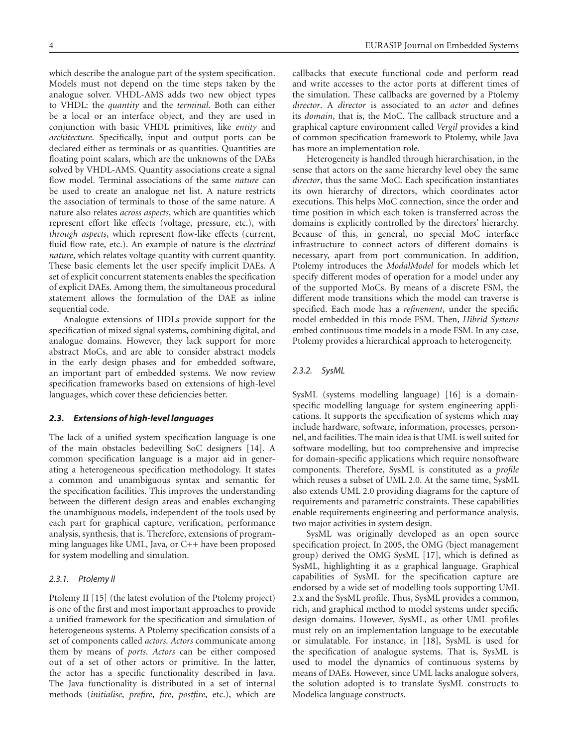which describe the analogue part of the system specification. Models must not depend on the time steps taken by the analogue solver. VHDL-AMS adds two new object types to VHDL: the *quantity* and the *terminal*. Both can either be a local or an interface object, and they are used in conjunction with basic VHDL primitives, like *entity* and *architecture*. Specifically, input and output ports can be declared either as terminals or as quantities. Quantities are floating point scalars, which are the unknowns of the DAEs solved by VHDL-AMS. Quantity associations create a signal flow model. Terminal associations of the same *nature* can be used to create an analogue net list. A nature restricts the association of terminals to those of the same nature. A nature also relates *across aspects*, which are quantities which represent effort like effects (voltage, pressure, etc.), with *through aspects*, which represent flow-like effects (current, fluid flow rate, etc.). An example of nature is the *electrical nature*, which relates voltage quantity with current quantity. These basic elements let the user specify implicit DAEs. A set of explicit concurrent statements enables the specification of explicit DAEs. Among them, the simultaneous procedural statement allows the formulation of the DAE as inline sequential code.

Analogue extensions of HDLs provide support for the specification of mixed signal systems, combining digital, and analogue domains. However, they lack support for more abstract MoCs, and are able to consider abstract models in the early design phases and for embedded software, an important part of embedded systems. We now review specification frameworks based on extensions of high-level languages, which cover these deficiencies better.

# *2.3. Extensions of high-level languages*

The lack of a unified system specification language is one of the main obstacles bedevilling SoC designers [14]. A common specification language is a major aid in generating a heterogeneous specification methodology. It states a common and unambiguous syntax and semantic for the specification facilities. This improves the understanding between the different design areas and enables exchanging the unambiguous models, independent of the tools used by each part for graphical capture, verification, performance analysis, synthesis, that is. Therefore, extensions of programming languages like UML, Java, or C++ have been proposed for system modelling and simulation.

# *2.3.1. Ptolemy II*

Ptolemy II [15] (the latest evolution of the Ptolemy project) is one of the first and most important approaches to provide a unified framework for the specification and simulation of heterogeneous systems. A Ptolemy specification consists of a set of components called *actors*. *Actors* communicate among them by means of *ports*. *Actors* can be either composed out of a set of other actors or primitive. In the latter, the actor has a specific functionality described in Java. The Java functionality is distributed in a set of internal methods (*initialise*, *prefire*, *fire*, *postfire*, etc.), which are

callbacks that execute functional code and perform read and write accesses to the actor ports at different times of the simulation. These callbacks are governed by a Ptolemy *director*. A *director* is associated to an *actor* and defines its *domain*, that is, the MoC. The callback structure and a graphical capture environment called *Vergil* provides a kind of common specification framework to Ptolemy, while Java has more an implementation role.

Heterogeneity is handled through hierarchisation, in the sense that actors on the same hierarchy level obey the same *director*, thus the same MoC. Each specification instantiates its own hierarchy of directors, which coordinates actor executions. This helps MoC connection, since the order and time position in which each token is transferred across the domains is explicitly controlled by the directors' hierarchy. Because of this, in general, no special MoC interface infrastructure to connect actors of different domains is necessary, apart from port communication. In addition, Ptolemy introduces the *ModalModel* for models which let specify different modes of operation for a model under any of the supported MoCs. By means of a discrete FSM, the different mode transitions which the model can traverse is specified. Each mode has a *refinement*, under the specific model embedded in this mode FSM. Then, *Hibrid Systems* embed continuous time models in a mode FSM. In any case, Ptolemy provides a hierarchical approach to heterogeneity.

# *2.3.2. SysML*

SysML (systems modelling language) [16] is a domainspecific modelling language for system engineering applications. It supports the specification of systems which may include hardware, software, information, processes, personnel, and facilities. The main idea is that UML is well suited for software modelling, but too comprehensive and imprecise for domain-specific applications which require nonsoftware components. Therefore, SysML is constituted as a *profile* which reuses a subset of UML 2.0. At the same time, SysML also extends UML 2.0 providing diagrams for the capture of requirements and parametric constraints. These capabilities enable requirements engineering and performance analysis, two major activities in system design.

SysML was originally developed as an open source specification project. In 2005, the OMG (bject management group) derived the OMG SysML [17], which is defined as SysML, highlighting it as a graphical language. Graphical capabilities of SysML for the specification capture are endorsed by a wide set of modelling tools supporting UML 2.x and the SysML profile. Thus, SysML provides a common, rich, and graphical method to model systems under specific design domains. However, SysML, as other UML profiles must rely on an implementation language to be executable or simulatable. For instance, in [18], SysML is used for the specification of analogue systems. That is, SysML is used to model the dynamics of continuous systems by means of DAEs. However, since UML lacks analogue solvers, the solution adopted is to translate SysML constructs to Modelica language constructs.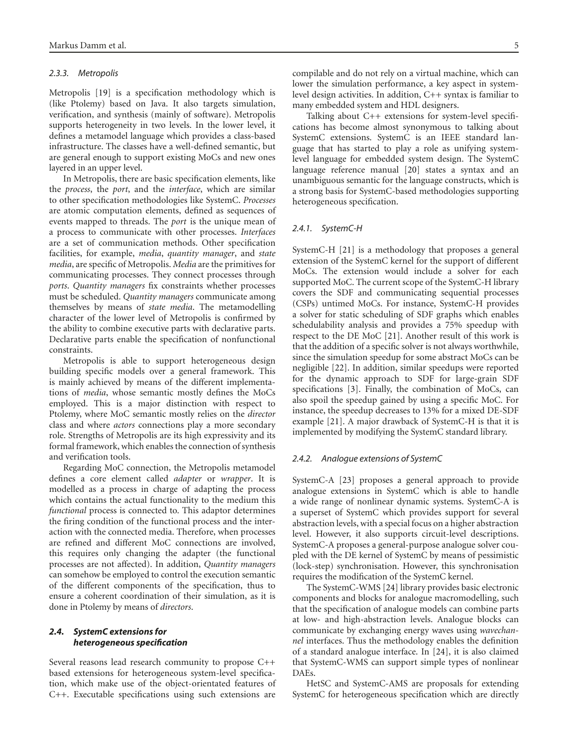#### *2.3.3. Metropolis*

Metropolis [19] is a specification methodology which is (like Ptolemy) based on Java. It also targets simulation, verification, and synthesis (mainly of software). Metropolis supports heterogeneity in two levels. In the lower level, it defines a metamodel language which provides a class-based infrastructure. The classes have a well-defined semantic, but are general enough to support existing MoCs and new ones layered in an upper level.

In Metropolis, there are basic specification elements, like the *process*, the *port*, and the *interface*, which are similar to other specification methodologies like SystemC. *Processes* are atomic computation elements, defined as sequences of events mapped to threads. The *port* is the unique mean of a process to communicate with other processes. *Interfaces* are a set of communication methods. Other specification facilities, for example, *media*, *quantity manager*, and *state media*, are specific of Metropolis. *Media* are the primitives for communicating processes. They connect processes through *ports*. *Quantity managers* fix constraints whether processes must be scheduled. *Quantity managers* communicate among themselves by means of *state media*. The metamodelling character of the lower level of Metropolis is confirmed by the ability to combine executive parts with declarative parts. Declarative parts enable the specification of nonfunctional constraints.

Metropolis is able to support heterogeneous design building specific models over a general framework. This is mainly achieved by means of the different implementations of *media*, whose semantic mostly defines the MoCs employed. This is a major distinction with respect to Ptolemy, where MoC semantic mostly relies on the *director* class and where *actors* connections play a more secondary role. Strengths of Metropolis are its high expressivity and its formal framework, which enables the connection of synthesis and verification tools.

Regarding MoC connection, the Metropolis metamodel defines a core element called *adapter* or *wrapper*. It is modelled as a process in charge of adapting the process which contains the actual functionality to the medium this *functional* process is connected to. This adaptor determines the firing condition of the functional process and the interaction with the connected media. Therefore, when processes are refined and different MoC connections are involved, this requires only changing the adapter (the functional processes are not affected). In addition, *Quantity managers* can somehow be employed to control the execution semantic of the different components of the specification, thus to ensure a coherent coordination of their simulation, as it is done in Ptolemy by means of *directors*.

# *2.4. SystemC extensions for heterogeneous specification*

Several reasons lead research community to propose C++ based extensions for heterogeneous system-level specification, which make use of the object-orientated features of C++. Executable specifications using such extensions are

compilable and do not rely on a virtual machine, which can lower the simulation performance, a key aspect in systemlevel design activities. In addition, C++ syntax is familiar to many embedded system and HDL designers.

Talking about C++ extensions for system-level specifications has become almost synonymous to talking about SystemC extensions. SystemC is an IEEE standard language that has started to play a role as unifying systemlevel language for embedded system design. The SystemC language reference manual [20] states a syntax and an unambiguous semantic for the language constructs, which is a strong basis for SystemC-based methodologies supporting heterogeneous specification.

## *2.4.1. SystemC-H*

SystemC-H [21] is a methodology that proposes a general extension of the SystemC kernel for the support of different MoCs. The extension would include a solver for each supported MoC. The current scope of the SystemC-H library covers the SDF and communicating sequential processes (CSPs) untimed MoCs. For instance, SystemC-H provides a solver for static scheduling of SDF graphs which enables schedulability analysis and provides a 75% speedup with respect to the DE MoC [21]. Another result of this work is that the addition of a specific solver is not always worthwhile, since the simulation speedup for some abstract MoCs can be negligible [22]. In addition, similar speedups were reported for the dynamic approach to SDF for large-grain SDF specifications [3]. Finally, the combination of MoCs, can also spoil the speedup gained by using a specific MoC. For instance, the speedup decreases to 13% for a mixed DE-SDF example [21]. A major drawback of SystemC-H is that it is implemented by modifying the SystemC standard library.

#### *2.4.2. Analogue extensions of SystemC*

SystemC-A [23] proposes a general approach to provide analogue extensions in SystemC which is able to handle a wide range of nonlinear dynamic systems. SystemC-A is a superset of SystemC which provides support for several abstraction levels, with a special focus on a higher abstraction level. However, it also supports circuit-level descriptions. SystemC-A proposes a general-purpose analogue solver coupled with the DE kernel of SystemC by means of pessimistic (lock-step) synchronisation. However, this synchronisation requires the modification of the SystemC kernel.

The SystemC-WMS [24] library provides basic electronic components and blocks for analogue macromodelling, such that the specification of analogue models can combine parts at low- and high-abstraction levels. Analogue blocks can communicate by exchanging energy waves using *wavechannel* interfaces. Thus the methodology enables the definition of a standard analogue interface. In [24], it is also claimed that SystemC-WMS can support simple types of nonlinear DAEs.

HetSC and SystemC-AMS are proposals for extending SystemC for heterogeneous specification which are directly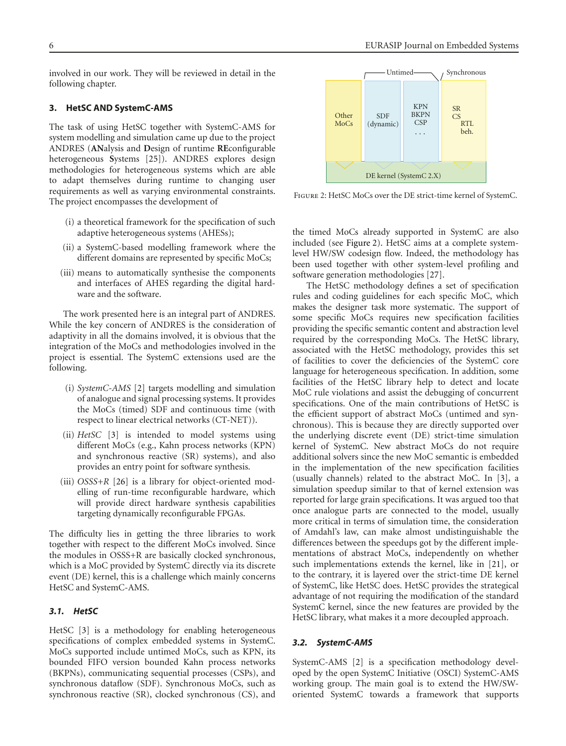involved in our work. They will be reviewed in detail in the following chapter.

# **3. HetSC AND SystemC-AMS**

The task of using HetSC together with SystemC-AMS for system modelling and simulation came up due to the project ANDRES (**AN**alysis and **D**esign of runtime **RE**configurable heterogeneous **S**ystems [25]). ANDRES explores design methodologies for heterogeneous systems which are able to adapt themselves during runtime to changing user requirements as well as varying environmental constraints. The project encompasses the development of

- (i) a theoretical framework for the specification of such adaptive heterogeneous systems (AHESs);
- (ii) a SystemC-based modelling framework where the different domains are represented by specific MoCs;
- (iii) means to automatically synthesise the components and interfaces of AHES regarding the digital hardware and the software.

The work presented here is an integral part of ANDRES. While the key concern of ANDRES is the consideration of adaptivity in all the domains involved, it is obvious that the integration of the MoCs and methodologies involved in the project is essential. The SystemC extensions used are the following.

- (i) *SystemC-AMS* [2] targets modelling and simulation of analogue and signal processing systems. It provides the MoCs (timed) SDF and continuous time (with respect to linear electrical networks (CT-NET)).
- (ii) *HetSC* [3] is intended to model systems using different MoCs (e.g., Kahn process networks (KPN) and synchronous reactive (SR) systems), and also provides an entry point for software synthesis.
- (iii) *OSSS+R* [26] is a library for object-oriented modelling of run-time reconfigurable hardware, which will provide direct hardware synthesis capabilities targeting dynamically reconfigurable FPGAs.

The difficulty lies in getting the three libraries to work together with respect to the different MoCs involved. Since the modules in OSSS+R are basically clocked synchronous, which is a MoC provided by SystemC directly via its discrete event (DE) kernel, this is a challenge which mainly concerns HetSC and SystemC-AMS.

# *3.1. HetSC*

HetSC [3] is a methodology for enabling heterogeneous specifications of complex embedded systems in SystemC. MoCs supported include untimed MoCs, such as KPN, its bounded FIFO version bounded Kahn process networks (BKPNs), communicating sequential processes (CSPs), and synchronous dataflow (SDF). Synchronous MoCs, such as synchronous reactive (SR), clocked synchronous (CS), and



Figure 2: HetSC MoCs over the DE strict-time kernel of SystemC.

the timed MoCs already supported in SystemC are also included (see Figure 2). HetSC aims at a complete systemlevel HW/SW codesign flow. Indeed, the methodology has been used together with other system-level profiling and software generation methodologies [27].

The HetSC methodology defines a set of specification rules and coding guidelines for each specific MoC, which makes the designer task more systematic. The support of some specific MoCs requires new specification facilities providing the specific semantic content and abstraction level required by the corresponding MoCs. The HetSC library, associated with the HetSC methodology, provides this set of facilities to cover the deficiencies of the SystemC core language for heterogeneous specification. In addition, some facilities of the HetSC library help to detect and locate MoC rule violations and assist the debugging of concurrent specifications. One of the main contributions of HetSC is the efficient support of abstract MoCs (untimed and synchronous). This is because they are directly supported over the underlying discrete event (DE) strict-time simulation kernel of SystemC. New abstract MoCs do not require additional solvers since the new MoC semantic is embedded in the implementation of the new specification facilities (usually channels) related to the abstract MoC. In [3], a simulation speedup similar to that of kernel extension was reported for large grain specifications. It was argued too that once analogue parts are connected to the model, usually more critical in terms of simulation time, the consideration of Amdahl's law, can make almost undistinguishable the differences between the speedups got by the different implementations of abstract MoCs, independently on whether such implementations extends the kernel, like in [21], or to the contrary, it is layered over the strict-time DE kernel of SystemC, like HetSC does. HetSC provides the strategical advantage of not requiring the modification of the standard SystemC kernel, since the new features are provided by the HetSC library, what makes it a more decoupled approach.

## *3.2. SystemC-AMS*

SystemC-AMS [2] is a specification methodology developed by the open SystemC Initiative (OSCI) SystemC-AMS working group. The main goal is to extend the HW/SWoriented SystemC towards a framework that supports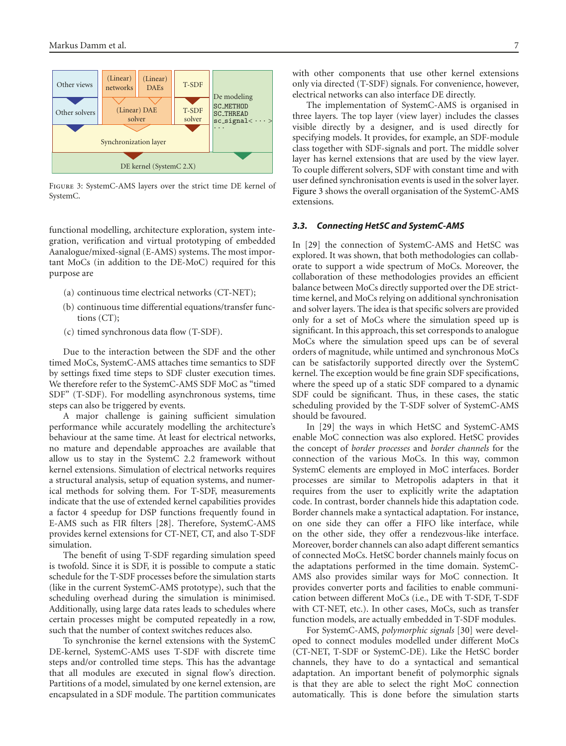

Figure 3: SystemC-AMS layers over the strict time DE kernel of SystemC.

functional modelling, architecture exploration, system integration, verification and virtual prototyping of embedded Aanalogue/mixed-signal (E-AMS) systems. The most important MoCs (in addition to the DE-MoC) required for this purpose are

- (a) continuous time electrical networks (CT-NET);
- (b) continuous time differential equations/transfer functions (CT);
- (c) timed synchronous data flow (T-SDF).

Due to the interaction between the SDF and the other timed MoCs, SystemC-AMS attaches time semantics to SDF by settings fixed time steps to SDF cluster execution times. We therefore refer to the SystemC-AMS SDF MoC as "timed SDF" (T-SDF). For modelling asynchronous systems, time steps can also be triggered by events.

A major challenge is gaining sufficient simulation performance while accurately modelling the architecture's behaviour at the same time. At least for electrical networks, no mature and dependable approaches are available that allow us to stay in the SystemC 2.2 framework without kernel extensions. Simulation of electrical networks requires a structural analysis, setup of equation systems, and numerical methods for solving them. For T-SDF, measurements indicate that the use of extended kernel capabilities provides a factor 4 speedup for DSP functions frequently found in E-AMS such as FIR filters [28]. Therefore, SystemC-AMS provides kernel extensions for CT-NET, CT, and also T-SDF simulation.

The benefit of using T-SDF regarding simulation speed is twofold. Since it is SDF, it is possible to compute a static schedule for the T-SDF processes before the simulation starts (like in the current SystemC-AMS prototype), such that the scheduling overhead during the simulation is minimised. Additionally, using large data rates leads to schedules where certain processes might be computed repeatedly in a row, such that the number of context switches reduces also.

To synchronise the kernel extensions with the SystemC DE-kernel, SystemC-AMS uses T-SDF with discrete time steps and/or controlled time steps. This has the advantage that all modules are executed in signal flow's direction. Partitions of a model, simulated by one kernel extension, are encapsulated in a SDF module. The partition communicates

with other components that use other kernel extensions only via directed (T-SDF) signals. For convenience, however, electrical networks can also interface DE directly.

The implementation of SystemC-AMS is organised in three layers. The top layer (view layer) includes the classes visible directly by a designer, and is used directly for specifying models. It provides, for example, an SDF-module class together with SDF-signals and port. The middle solver layer has kernel extensions that are used by the view layer. To couple different solvers, SDF with constant time and with user defined synchronisation events is used in the solver layer. Figure 3 shows the overall organisation of the SystemC-AMS extensions.

#### *3.3. Connecting HetSC and SystemC-AMS*

In [29] the connection of SystemC-AMS and HetSC was explored. It was shown, that both methodologies can collaborate to support a wide spectrum of MoCs. Moreover, the collaboration of these methodologies provides an efficient balance between MoCs directly supported over the DE stricttime kernel, and MoCs relying on additional synchronisation and solver layers. The idea is that specific solvers are provided only for a set of MoCs where the simulation speed up is significant. In this approach, this set corresponds to analogue MoCs where the simulation speed ups can be of several orders of magnitude, while untimed and synchronous MoCs can be satisfactorily supported directly over the SystemC kernel. The exception would be fine grain SDF specifications, where the speed up of a static SDF compared to a dynamic SDF could be significant. Thus, in these cases, the static scheduling provided by the T-SDF solver of SystemC-AMS should be favoured.

In [29] the ways in which HetSC and SystemC-AMS enable MoC connection was also explored. HetSC provides the concept of *border processes* and *border channels* for the connection of the various MoCs. In this way, common SystemC elements are employed in MoC interfaces. Border processes are similar to Metropolis adapters in that it requires from the user to explicitly write the adaptation code. In contrast, border channels hide this adaptation code. Border channels make a syntactical adaptation. For instance, on one side they can offer a FIFO like interface, while on the other side, they offer a rendezvous-like interface. Moreover, border channels can also adapt different semantics of connected MoCs. HetSC border channels mainly focus on the adaptations performed in the time domain. SystemC-AMS also provides similar ways for MoC connection. It provides converter ports and facilities to enable communication between different MoCs (i.e., DE with T-SDF, T-SDF with CT-NET, etc.). In other cases, MoCs, such as transfer function models, are actually embedded in T-SDF modules.

For SystemC-AMS, *polymorphic signals* [30] were developed to connect modules modelled under different MoCs (CT-NET, T-SDF or SystemC-DE). Like the HetSC border channels, they have to do a syntactical and semantical adaptation. An important benefit of polymorphic signals is that they are able to select the right MoC connection automatically. This is done before the simulation starts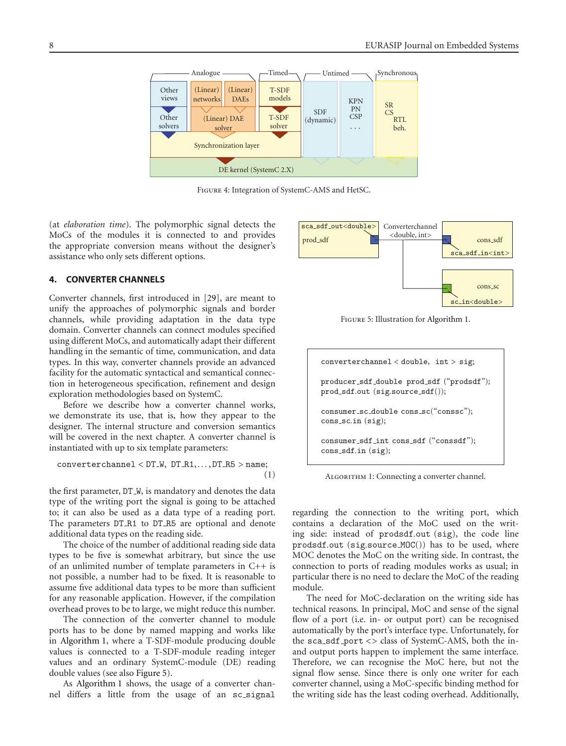

Figure 4: Integration of SystemC-AMS and HetSC.

(at *elaboration time*). The polymorphic signal detects the MoCs of the modules it is connected to and provides the appropriate conversion means without the designer's assistance who only sets different options.

# **4. CONVERTER CHANNELS**

Converter channels, first introduced in [29], are meant to unify the approaches of polymorphic signals and border channels, while providing adaptation in the data type domain. Converter channels can connect modules specified using different MoCs, and automatically adapt their different handling in the semantic of time, communication, and data types. In this way, converter channels provide an advanced facility for the automatic syntactical and semantical connection in heterogeneous specification, refinement and design exploration methodologies based on SystemC.

Before we describe how a converter channel works, we demonstrate its use, that is, how they appear to the designer. The internal structure and conversion semantics will be covered in the next chapter. A converter channel is instantiated with up to six template parameters:

$$
converter channel < DT\_W, DT\_R1, \ldots, DT\_R5 > name; \tag{1}
$$

the first parameter, DT<sub>-</sub>W, is mandatory and denotes the data type of the writing port the signal is going to be attached to; it can also be used as a data type of a reading port. The parameters DT R1 to DT R5 are optional and denote additional data types on the reading side.

The choice of the number of additional reading side data types to be five is somewhat arbitrary, but since the use of an unlimited number of template parameters in C++ is not possible, a number had to be fixed. It is reasonable to assume five additional data types to be more than sufficient for any reasonable application. However, if the compilation overhead proves to be to large, we might reduce this number.

The connection of the converter channel to module ports has to be done by named mapping and works like in Algorithm 1, where a T-SDF-module producing double values is connected to a T-SDF-module reading integer values and an ordinary SystemC-module (DE) reading double values (see also Figure 5).

As Algorithm 1 shows, the usage of a converter channel differs a little from the usage of an sc signal



Figure 5: Illustration for Algorithm 1.

converterchannel *<* double, int *>* sig; producer sdf double prod sdf ("prodsdf"); prod sdf*.*out (sig*.*source sdf()); consumer sc double cons sc("conssc"); cons sc*.*in (sig); consumer sdf int cons sdf ("conssdf"); cons sdf*.*in (sig);

ALGORITHM 1: Connecting a converter channel.

regarding the connection to the writing port, which contains a declaration of the MoC used on the writing side: instead of prodsdf*.*out (sig), the code line prodsdf*.*out (sig*.*source MOC()) has to be used, where MOC denotes the MoC on the writing side. In contrast, the connection to ports of reading modules works as usual; in particular there is no need to declare the MoC of the reading module.

The need for MoC-declaration on the writing side has technical reasons. In principal, MoC and sense of the signal flow of a port (i.e. in- or output port) can be recognised automatically by the port's interface type. Unfortunately, for the sca sdf port *<>* class of SystemC-AMS, both the inand output ports happen to implement the same interface. Therefore, we can recognise the MoC here, but not the signal flow sense. Since there is only one writer for each converter channel, using a MoC-specific binding method for the writing side has the least coding overhead. Additionally,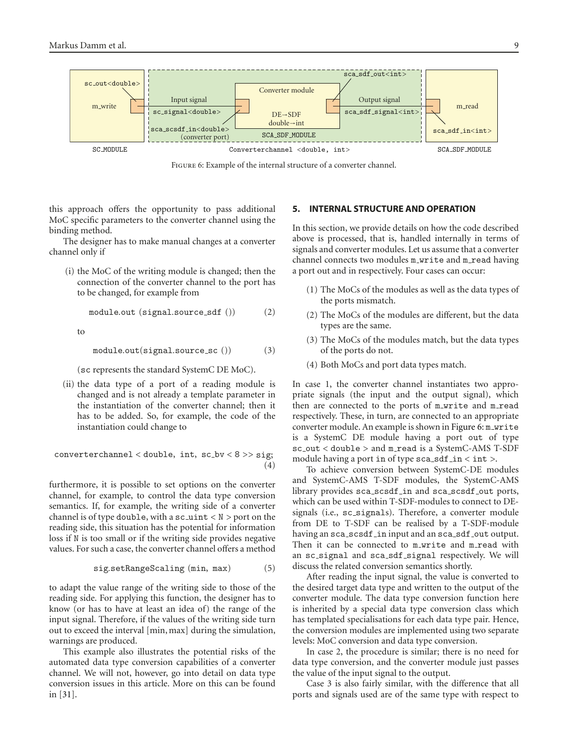

Figure 6: Example of the internal structure of a converter channel.

this approach offers the opportunity to pass additional MoC specific parameters to the converter channel using the binding method.

The designer has to make manual changes at a converter channel only if

(i) the MoC of the writing module is changed; then the connection of the converter channel to the port has to be changed, for example from

$$
\texttt{module.out (signal-source\_sdf ())} \qquad \qquad (2)
$$

to

$$
\texttt{module.out}(\texttt{signal}.\texttt{source\_sc}()) \qquad \qquad (3)
$$

(sc represents the standard SystemC DE MoC).

(ii) the data type of a port of a reading module is changed and is not already a template parameter in the instantiation of the converter channel; then it has to be added. So, for example, the code of the instantiation could change to

$$
\texttt{converter channel} < \texttt{double}, \texttt{int}, \texttt{sc_bv} < 8 >> \texttt{sig};
$$

$$
\qquad \qquad (4)
$$

furthermore, it is possible to set options on the converter channel, for example, to control the data type conversion semantics. If, for example, the writing side of a converter channel is of type double, with a sc uint *<* N *>* port on the reading side, this situation has the potential for information loss if N is too small or if the writing side provides negative values. For such a case, the converter channel offers a method

$$
sig.setRangeScaling (min, max) \qquad (5)
$$

to adapt the value range of the writing side to those of the reading side. For applying this function, the designer has to know (or has to have at least an idea of) the range of the input signal. Therefore, if the values of the writing side turn out to exceed the interval [min, max] during the simulation, warnings are produced.

This example also illustrates the potential risks of the automated data type conversion capabilities of a converter channel. We will not, however, go into detail on data type conversion issues in this article. More on this can be found in [31].

#### **5. INTERNAL STRUCTURE AND OPERATION**

In this section, we provide details on how the code described above is processed, that is, handled internally in terms of signals and converter modules. Let us assume that a converter channel connects two modules m\_write and m\_read having a port out and in respectively. Four cases can occur:

- (1) The MoCs of the modules as well as the data types of the ports mismatch.
- (2) The MoCs of the modules are different, but the data types are the same.
- (3) The MoCs of the modules match, but the data types of the ports do not.
- (4) Both MoCs and port data types match.

In case 1, the converter channel instantiates two appropriate signals (the input and the output signal), which then are connected to the ports of m\_write and m\_read respectively. These, in turn, are connected to an appropriate converter module. An example is shown in Figure 6: m\_write is a SystemC DE module having a port out of type sc out *<* double *>* and m read is a SystemC-AMS T-SDF module having a port in of type sca sdf in *<* int *>*.

To achieve conversion between SystemC-DE modules and SystemC-AMS T-SDF modules, the SystemC-AMS library provides sca\_scsdf\_in and sca\_scsdf\_out ports, which can be used within T-SDF-modules to connect to DEsignals (i.e., sc\_signals). Therefore, a converter module from DE to T-SDF can be realised by a T-SDF-module having an sca\_scsdf\_in input and an sca\_sdf\_out output. Then it can be connected to m\_write and m\_read with an sc\_signal and sca\_sdf\_signal respectively. We will discuss the related conversion semantics shortly.

After reading the input signal, the value is converted to the desired target data type and written to the output of the converter module. The data type conversion function here is inherited by a special data type conversion class which has templated specialisations for each data type pair. Hence, the conversion modules are implemented using two separate levels: MoC conversion and data type conversion.

In case 2, the procedure is similar; there is no need for data type conversion, and the converter module just passes the value of the input signal to the output.

Case 3 is also fairly similar, with the difference that all ports and signals used are of the same type with respect to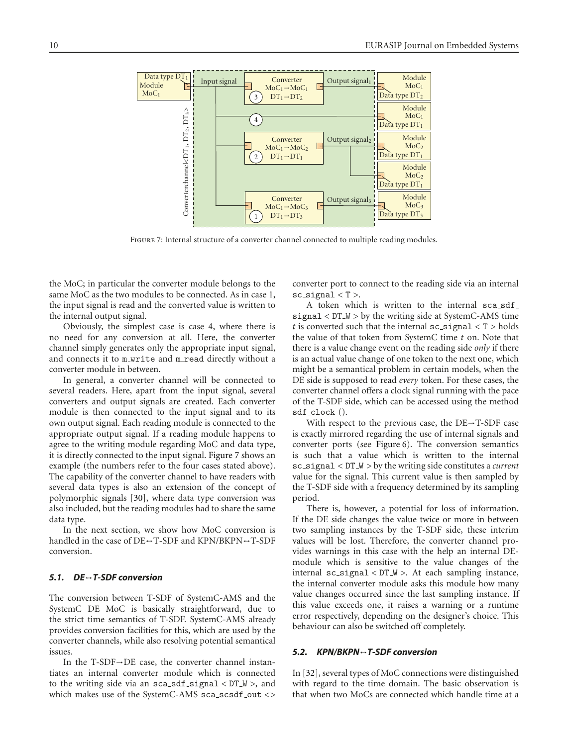

Figure 7: Internal structure of a converter channel connected to multiple reading modules.

the MoC; in particular the converter module belongs to the same MoC as the two modules to be connected. As in case 1, the input signal is read and the converted value is written to the internal output signal.

Obviously, the simplest case is case 4, where there is no need for any conversion at all. Here, the converter channel simply generates only the appropriate input signal, and connects it to m\_write and m\_read directly without a converter module in between.

In general, a converter channel will be connected to several readers. Here, apart from the input signal, several converters and output signals are created. Each converter module is then connected to the input signal and to its own output signal. Each reading module is connected to the appropriate output signal. If a reading module happens to agree to the writing module regarding MoC and data type, it is directly connected to the input signal. Figure 7 shows an example (the numbers refer to the four cases stated above). The capability of the converter channel to have readers with several data types is also an extension of the concept of polymorphic signals [30], where data type conversion was also included, but the reading modules had to share the same data type.

In the next section, we show how MoC conversion is handled in the case of  $DE \rightarrow T\text{-}SDF$  and KPN/BKPN $\rightarrow$ T-SDF conversion.

## *5.1. DE*↔*T-SDF conversion*

The conversion between T-SDF of SystemC-AMS and the SystemC DE MoC is basically straightforward, due to the strict time semantics of T-SDF. SystemC-AMS already provides conversion facilities for this, which are used by the converter channels, while also resolving potential semantical issues.

In the T-SDF→DE case, the converter channel instantiates an internal converter module which is connected to the writing side via an sca sdf signal *<* DT W *>*, and which makes use of the SystemC-AMS sca\_scsdf\_out <> converter port to connect to the reading side via an internal sc signal *<* T *>*.

A token which is written to the internal sca sdf signal *<* DT W *>* by the writing side at SystemC-AMS time *t* is converted such that the internal  $\text{sc\_signal} < T$  > holds the value of that token from SystemC time *t* on. Note that there is a value change event on the reading side *only* if there is an actual value change of one token to the next one, which might be a semantical problem in certain models, when the DE side is supposed to read *every* token. For these cases, the converter channel offers a clock signal running with the pace of the T-SDF side, which can be accessed using the method sdf\_clock().

With respect to the previous case, the  $DE \rightarrow T\text{-}SDF$  case is exactly mirrored regarding the use of internal signals and converter ports (see Figure 6). The conversion semantics is such that a value which is written to the internal sc signal *<* DT W *>* by the writing side constitutes a *current* value for the signal. This current value is then sampled by the T-SDF side with a frequency determined by its sampling period.

There is, however, a potential for loss of information. If the DE side changes the value twice or more in between two sampling instances by the T-SDF side, these interim values will be lost. Therefore, the converter channel provides warnings in this case with the help an internal DEmodule which is sensitive to the value changes of the internal sc signal *<* DT W *>*. At each sampling instance, the internal converter module asks this module how many value changes occurred since the last sampling instance. If this value exceeds one, it raises a warning or a runtime error respectively, depending on the designer's choice. This behaviour can also be switched off completely.

### *5.2. KPN/BKPN*↔*T-SDF conversion*

In [32], several types of MoC connections were distinguished with regard to the time domain. The basic observation is that when two MoCs are connected which handle time at a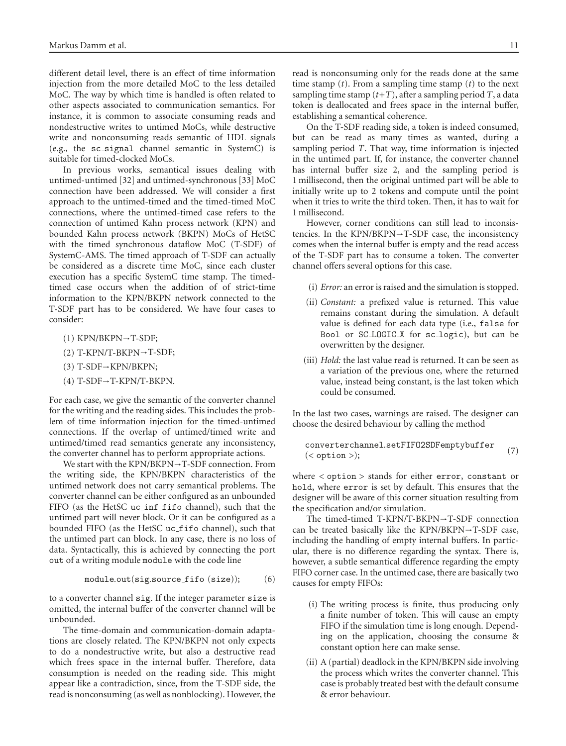different detail level, there is an effect of time information injection from the more detailed MoC to the less detailed MoC. The way by which time is handled is often related to other aspects associated to communication semantics. For instance, it is common to associate consuming reads and nondestructive writes to untimed MoCs, while destructive write and nonconsuming reads semantic of HDL signals (e.g., the sc signal channel semantic in SystemC) is suitable for timed-clocked MoCs.

In previous works, semantical issues dealing with untimed-untimed [32] and untimed-synchronous [33] MoC connection have been addressed. We will consider a first approach to the untimed-timed and the timed-timed MoC connections, where the untimed-timed case refers to the connection of untimed Kahn process network (KPN) and bounded Kahn process network (BKPN) MoCs of HetSC with the timed synchronous dataflow MoC (T-SDF) of SystemC-AMS. The timed approach of T-SDF can actually be considered as a discrete time MoC, since each cluster execution has a specific SystemC time stamp. The timedtimed case occurs when the addition of of strict-time information to the KPN/BKPN network connected to the T-SDF part has to be considered. We have four cases to consider:

- (1) KPN/BKPN→T-SDF;
- (2) T-KPN/T-BKPN→T-SDF;
- (3) T-SDF→KPN/BKPN;
- $(4)$  T-SDF $\rightarrow$ T-KPN/T-BKPN.

For each case, we give the semantic of the converter channel for the writing and the reading sides. This includes the problem of time information injection for the timed-untimed connections. If the overlap of untimed/timed write and untimed/timed read semantics generate any inconsistency, the converter channel has to perform appropriate actions.

We start with the KPN/BKPN→T-SDF connection. From the writing side, the KPN/BKPN characteristics of the untimed network does not carry semantical problems. The converter channel can be either configured as an unbounded FIFO (as the HetSC uc inf fifo channel), such that the untimed part will never block. Or it can be configured as a bounded FIFO (as the HetSC uc fifo channel), such that the untimed part can block. In any case, there is no loss of data. Syntactically, this is achieved by connecting the port out of a writing module module with the code line

$$
\texttt{module.out}(\texttt{sig}.\texttt{source\_fib}~(\texttt{size}))\texttt{;}\qquad(6)
$$

to a converter channel sig. If the integer parameter size is omitted, the internal buffer of the converter channel will be unbounded.

The time-domain and communication-domain adaptations are closely related. The KPN/BKPN not only expects to do a nondestructive write, but also a destructive read which frees space in the internal buffer. Therefore, data consumption is needed on the reading side. This might appear like a contradiction, since, from the T-SDF side, the read is nonconsuming (as well as nonblocking). However, the

read is nonconsuming only for the reads done at the same time stamp (*t*). From a sampling time stamp (*t*) to the next sampling time stamp  $(t+T)$ , after a sampling period *T*, a data token is deallocated and frees space in the internal buffer, establishing a semantical coherence.

On the T-SDF reading side, a token is indeed consumed, but can be read as many times as wanted, during a sampling period *T*. That way, time information is injected in the untimed part. If, for instance, the converter channel has internal buffer size 2, and the sampling period is 1 millisecond, then the original untimed part will be able to initially write up to 2 tokens and compute until the point when it tries to write the third token. Then, it has to wait for 1 millisecond.

However, corner conditions can still lead to inconsistencies. In the KPN/BKPN→T-SDF case, the inconsistency comes when the internal buffer is empty and the read access of the T-SDF part has to consume a token. The converter channel offers several options for this case.

- (i) *Error:* an error is raised and the simulation is stopped.
- (ii) *Constant:* a prefixed value is returned. This value remains constant during the simulation. A default value is defined for each data type (i.e., false for Bool or SC LOGIC X for sc logic), but can be overwritten by the designer.
- (iii) *Hold:* the last value read is returned. It can be seen as a variation of the previous one, where the returned value, instead being constant, is the last token which could be consumed.

In the last two cases, warnings are raised. The designer can choose the desired behaviour by calling the method

`converter channel.setFIF02SDFemptybuffer  

$$
(\leq
$$
 option  $>$ ); (2)`

where *<* option *>* stands for either error, constant or hold, where error is set by default. This ensures that the designer will be aware of this corner situation resulting from the specification and/or simulation.

The timed-timed T-KPN/T-BKPN→T-SDF connection can be treated basically like the KPN/BKPN→T-SDF case, including the handling of empty internal buffers. In particular, there is no difference regarding the syntax. There is, however, a subtle semantical difference regarding the empty FIFO corner case. In the untimed case, there are basically two causes for empty FIFOs:

- (i) The writing process is finite, thus producing only a finite number of token. This will cause an empty FIFO if the simulation time is long enough. Depending on the application, choosing the consume & constant option here can make sense.
- (ii) A (partial) deadlock in the KPN/BKPN side involving the process which writes the converter channel. This case is probably treated best with the default consume & error behaviour.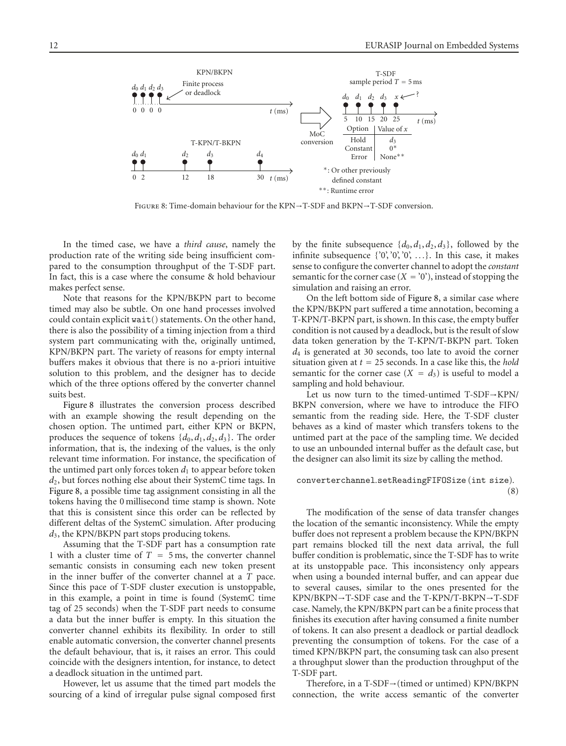

Figure 8: Time-domain behaviour for the KPN→T-SDF and BKPN→T-SDF conversion.

In the timed case, we have a *third cause*, namely the production rate of the writing side being insufficient compared to the consumption throughput of the T-SDF part. In fact, this is a case where the consume & hold behaviour makes perfect sense.

Note that reasons for the KPN/BKPN part to become timed may also be subtle. On one hand processes involved could contain explicit wait() statements. On the other hand, there is also the possibility of a timing injection from a third system part communicating with the, originally untimed, KPN/BKPN part. The variety of reasons for empty internal buffers makes it obvious that there is no a-priori intuitive solution to this problem, and the designer has to decide which of the three options offered by the converter channel suits best.

Figure 8 illustrates the conversion process described with an example showing the result depending on the chosen option. The untimed part, either KPN or BKPN, produces the sequence of tokens  $\{d_0, d_1, d_2, d_3\}$ . The order information, that is, the indexing of the values, is the only relevant time information. For instance, the specification of the untimed part only forces token  $d_1$  to appear before token *d*2, but forces nothing else about their SystemC time tags. In Figure 8, a possible time tag assignment consisting in all the tokens having the 0 millisecond time stamp is shown. Note that this is consistent since this order can be reflected by different deltas of the SystemC simulation. After producing *d*3, the KPN/BKPN part stops producing tokens.

Assuming that the T-SDF part has a consumption rate 1 with a cluster time of *T* = 5 ms, the converter channel semantic consists in consuming each new token present in the inner buffer of the converter channel at a *T* pace. Since this pace of T-SDF cluster execution is unstoppable, in this example, a point in time is found (SystemC time tag of 25 seconds) when the T-SDF part needs to consume a data but the inner buffer is empty. In this situation the converter channel exhibits its flexibility. In order to still enable automatic conversion, the converter channel presents the default behaviour, that is, it raises an error. This could coincide with the designers intention, for instance, to detect a deadlock situation in the untimed part.

However, let us assume that the timed part models the sourcing of a kind of irregular pulse signal composed first by the finite subsequence  $\{d_0, d_1, d_2, d_3\}$ , followed by the infinite subsequence {'0', '0', '0', *...*}. In this case, it makes sense to configure the converter channel to adopt the *constant* semantic for the corner case  $(X = '0')$ , instead of stopping the simulation and raising an error.

On the left bottom side of Figure 8, a similar case where the KPN/BKPN part suffered a time annotation, becoming a T-KPN/T-BKPN part, is shown. In this case, the empty buffer condition is not caused by a deadlock, but is the result of slow data token generation by the T-KPN/T-BKPN part. Token *d*<sup>4</sup> is generated at 30 seconds, too late to avoid the corner situation given at *t* = 25 seconds. In a case like this, the *hold* semantic for the corner case  $(X = d_3)$  is useful to model a sampling and hold behaviour.

Let us now turn to the timed-untimed T-SDF→KPN/ BKPN conversion, where we have to introduce the FIFO semantic from the reading side. Here, the T-SDF cluster behaves as a kind of master which transfers tokens to the untimed part at the pace of the sampling time. We decided to use an unbounded internal buffer as the default case, but the designer can also limit its size by calling the method.

# converterchannel*.*setReadingFIFOSize (int size)*.* (8)

The modification of the sense of data transfer changes the location of the semantic inconsistency. While the empty buffer does not represent a problem because the KPN/BKPN part remains blocked till the next data arrival, the full buffer condition is problematic, since the T-SDF has to write at its unstoppable pace. This inconsistency only appears when using a bounded internal buffer, and can appear due to several causes, similar to the ones presented for the KPN/BKPN→T-SDF case and the T-KPN/T-BKPN→T-SDF case. Namely, the KPN/BKPN part can be a finite process that finishes its execution after having consumed a finite number of tokens. It can also present a deadlock or partial deadlock preventing the consumption of tokens. For the case of a timed KPN/BKPN part, the consuming task can also present a throughput slower than the production throughput of the T-SDF part.

Therefore, in a T-SDF→(timed or untimed) KPN/BKPN connection, the write access semantic of the converter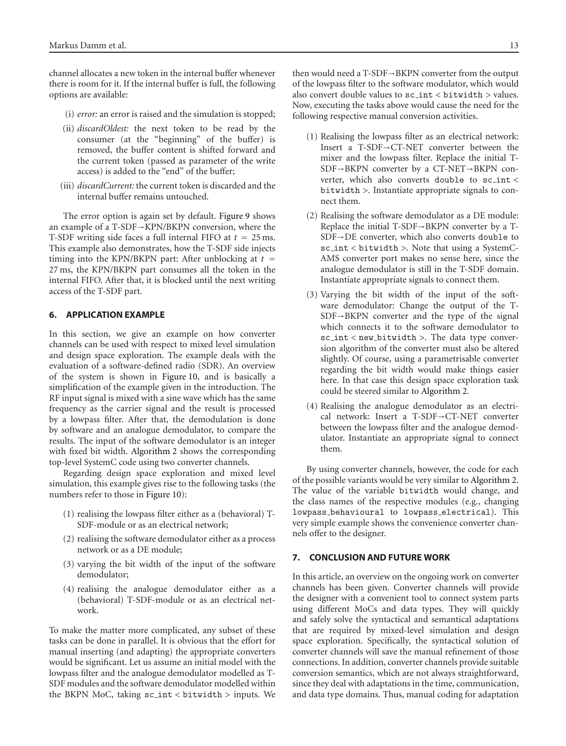channel allocates a new token in the internal buffer whenever there is room for it. If the internal buffer is full, the following options are available:

- (i) *error:* an error is raised and the simulation is stopped;
- (ii) *discardOldest:* the next token to be read by the consumer (at the "beginning" of the buffer) is removed, the buffer content is shifted forward and the current token (passed as parameter of the write access) is added to the "end" of the buffer;
- (iii) *discardCurrent:* the current token is discarded and the internal buffer remains untouched.

The error option is again set by default. Figure 9 shows an example of a T-SDF→KPN/BKPN conversion, where the T-SDF writing side faces a full internal FIFO at *t* = 25 ms. This example also demonstrates, how the T-SDF side injects timing into the KPN/BKPN part: After unblocking at  $t =$ 27 ms, the KPN/BKPN part consumes all the token in the internal FIFO. After that, it is blocked until the next writing access of the T-SDF part.

# **6. APPLICATION EXAMPLE**

In this section, we give an example on how converter channels can be used with respect to mixed level simulation and design space exploration. The example deals with the evaluation of a software-defined radio (SDR). An overview of the system is shown in Figure 10, and is basically a simplification of the example given in the introduction. The RF input signal is mixed with a sine wave which has the same frequency as the carrier signal and the result is processed by a lowpass filter. After that, the demodulation is done by software and an analogue demodulator, to compare the results. The input of the software demodulator is an integer with fixed bit width. Algorithm 2 shows the corresponding top-level SystemC code using two converter channels.

Regarding design space exploration and mixed level simulation, this example gives rise to the following tasks (the numbers refer to those in Figure 10):

- (1) realising the lowpass filter either as a (behavioral) T-SDF-module or as an electrical network;
- (2) realising the software demodulator either as a process network or as a DE module;
- (3) varying the bit width of the input of the software demodulator;
- (4) realising the analogue demodulator either as a (behavioral) T-SDF-module or as an electrical network.

To make the matter more complicated, any subset of these tasks can be done in parallel. It is obvious that the effort for manual inserting (and adapting) the appropriate converters would be significant. Let us assume an initial model with the lowpass filter and the analogue demodulator modelled as T-SDF modules and the software demodulator modelled within the BKPN MoC, taking sc int *<* bitwidth *>* inputs. We then would need a T-SDF→BKPN converter from the output of the lowpass filter to the software modulator, which would also convert double values to sc int *<* bitwidth *>* values. Now, executing the tasks above would cause the need for the following respective manual conversion activities.

- (1) Realising the lowpass filter as an electrical network: Insert a T-SDF→CT-NET converter between the mixer and the lowpass filter. Replace the initial T-SDF→BKPN converter by a CT-NET→BKPN converter, which also converts double to sc int *<* bitwidth *>*. Instantiate appropriate signals to connect them.
- (2) Realising the software demodulator as a DE module: Replace the initial T-SDF→BKPN converter by a T-SDF→DE converter, which also converts double to sc int *<* bitwidth *>*. Note that using a SystemC-AMS converter port makes no sense here, since the analogue demodulator is still in the T-SDF domain. Instantiate appropriate signals to connect them.
- (3) Varying the bit width of the input of the software demodulator: Change the output of the T-SDF→BKPN converter and the type of the signal which connects it to the software demodulator to sc int *<* new bitwidth *>*. The data type conversion algorithm of the converter must also be altered slightly. Of course, using a parametrisable converter regarding the bit width would make things easier here. In that case this design space exploration task could be steered similar to Algorithm 2.
- (4) Realising the analogue demodulator as an electrical network: Insert a T-SDF→CT-NET converter between the lowpass filter and the analogue demodulator. Instantiate an appropriate signal to connect them.

By using converter channels, however, the code for each of the possible variants would be very similar to Algorithm 2. The value of the variable bitwidth would change, and the class names of the respective modules (e.g., changing lowpass behavioural to lowpass electrical). This very simple example shows the convenience converter channels offer to the designer.

## **7. CONCLUSION AND FUTURE WORK**

In this article, an overview on the ongoing work on converter channels has been given. Converter channels will provide the designer with a convenient tool to connect system parts using different MoCs and data types. They will quickly and safely solve the syntactical and semantical adaptations that are required by mixed-level simulation and design space exploration. Specifically, the syntactical solution of converter channels will save the manual refinement of those connections. In addition, converter channels provide suitable conversion semantics, which are not always straightforward, since they deal with adaptations in the time, communication, and data type domains. Thus, manual coding for adaptation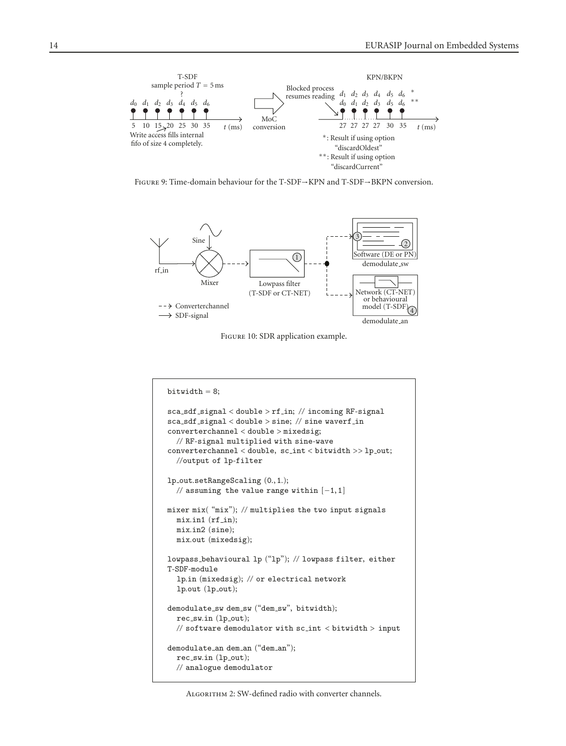

Figure 9: Time-domain behaviour for the T-SDF→KPN and T-SDF→BKPN conversion.



Figure 10: SDR application example.

```
bitwidth = 8;sca sdf signal < double > rf in; // incoming RF-signal
sca sdf signal < double > sine; // sine waverf in
converterchannel < double > mixedsig;
  // RF-signal multiplied with sine-wave
\texttt{converterchannel} < \texttt{double}, \ \texttt{sc.int} < \texttt{bitwidth} >\texttt{1p.out};//output of lp-filter
lp out.setRangeScaling (0., 1.);
  // assuming the value range within [−1, 1]
mixer mix( "mix"); // multiplies the two input signals
  mix.in1 (rf_in);
  mix.in2 (sine);
  mix.out (mixedsig);
lowpass behavioural lp ("lp"); // lowpass filter, either
T-SDF-module
  lp.in (mixedsig); // or electrical network
  lp.out (lp_out);
demodulate_sw dem_sw ("dem_sw", bitwidth);
  rec_sw.in (lp_out);
  // software demodulator with sc int < bitwidth > input
demodulate_an dem_an ("dem_an");
  rec_sw.in (lp_out);
  // analogue demodulator
```
ALGORITHM 2: SW-defined radio with converter channels.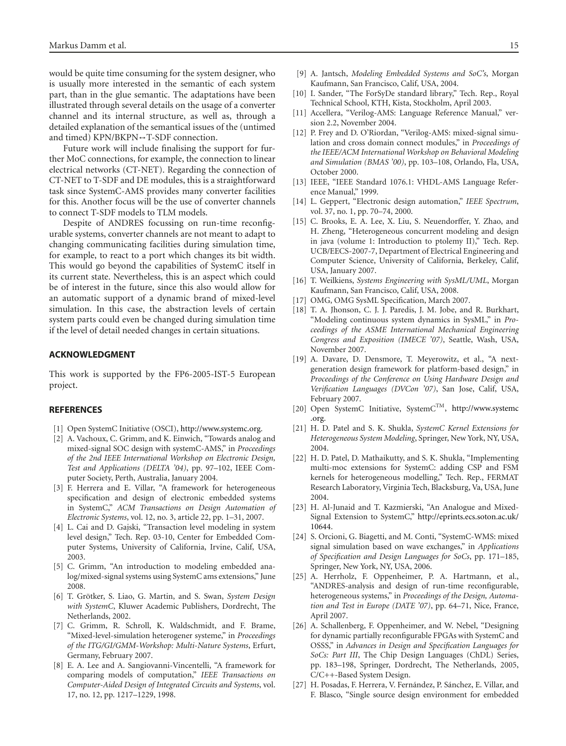would be quite time consuming for the system designer, who is usually more interested in the semantic of each system part, than in the glue semantic. The adaptations have been illustrated through several details on the usage of a converter channel and its internal structure, as well as, through a detailed explanation of the semantical issues of the (untimed and timed) KPN/BKPN↔T-SDF connection.

Future work will include finalising the support for further MoC connections, for example, the connection to linear electrical networks (CT-NET). Regarding the connection of CT-NET to T-SDF and DE modules, this is a straightforward task since SystemC-AMS provides many converter facilities for this. Another focus will be the use of converter channels to connect T-SDF models to TLM models.

Despite of ANDRES focussing on run-time reconfigurable systems, converter channels are not meant to adapt to changing communicating facilities during simulation time, for example, to react to a port which changes its bit width. This would go beyond the capabilities of SystemC itself in its current state. Nevertheless, this is an aspect which could be of interest in the future, since this also would allow for an automatic support of a dynamic brand of mixed-level simulation. In this case, the abstraction levels of certain system parts could even be changed during simulation time if the level of detail needed changes in certain situations.

#### **ACKNOWLEDGMENT**

This work is supported by the FP6-2005-IST-5 European project.

### **REFERENCES**

- [1] Open SystemC Initiative (OSCI), http://www.systemc.org.
- [2] A. Vachoux, C. Grimm, and K. Einwich, "Towards analog and mixed-signal SOC design with systemC-AMS," in *Proceedings of the 2nd IEEE International Workshop on Electronic Design, Test and Applications (DELTA '04)*, pp. 97–102, IEEE Computer Society, Perth, Australia, January 2004.
- [3] F. Herrera and E. Villar, "A framework for heterogeneous specification and design of electronic embedded systems in SystemC," *ACM Transactions on Design Automation of Electronic Systems*, vol. 12, no. 3, article 22, pp. 1–31, 2007.
- [4] L. Cai and D. Gajski, "Transaction level modeling in system level design," Tech. Rep. 03-10, Center for Embedded Computer Systems, University of California, Irvine, Calif, USA, 2003.
- [5] C. Grimm, "An introduction to modeling embedded analog/mixed-signal systems using SystemC ams extensions," June 2008.
- [6] T. Grötker, S. Liao, G. Martin, and S. Swan, System Design *with SystemC*, Kluwer Academic Publishers, Dordrecht, The Netherlands, 2002.
- [7] C. Grimm, R. Schroll, K. Waldschmidt, and F. Brame, "Mixed-level-simulation heterogener systeme," in *Proceedings of the ITG/GI/GMM-Workshop: Multi-Nature Systems*, Erfurt, Germany, February 2007.
- [8] E. A. Lee and A. Sangiovanni-Vincentelli, "A framework for comparing models of computation," *IEEE Transactions on Computer-Aided Design of Integrated Circuits and Systems*, vol. 17, no. 12, pp. 1217–1229, 1998.
- [9] A. Jantsch, *Modeling Embedded Systems and SoC's*, Morgan Kaufmann, San Francisco, Calif, USA, 2004.
- [10] I. Sander, "The ForSyDe standard library," Tech. Rep., Royal Technical School, KTH, Kista, Stockholm, April 2003.
- [11] Accellera, "Verilog-AMS: Language Reference Manual," version 2.2, November 2004.
- [12] P. Frey and D. O'Riordan, "Verilog-AMS: mixed-signal simulation and cross domain connect modules," in *Proceedings of the IEEE/ACM International Workshop on Behavioral Modeling and Simulation (BMAS '00)*, pp. 103–108, Orlando, Fla, USA, October 2000.
- [13] IEEE, "IEEE Standard 1076.1: VHDL-AMS Language Reference Manual," 1999.
- [14] L. Geppert, "Electronic design automation," *IEEE Spectrum*, vol. 37, no. 1, pp. 70–74, 2000.
- [15] C. Brooks, E. A. Lee, X. Liu, S. Neuendorffer, Y. Zhao, and H. Zheng, "Heterogeneous concurrent modeling and design in java (volume 1: Introduction to ptolemy II)," Tech. Rep. UCB/EECS-2007-7, Department of Electrical Engineering and Computer Science, University of California, Berkeley, Calif, USA, January 2007.
- [16] T. Weilkiens, *Systems Engineering with SysML/UML*, Morgan Kaufmann, San Francisco, Calif, USA, 2008.
- [17] OMG, OMG SysML Specification, March 2007.
- [18] T. A. Jhonson, C. J. J. Paredis, J. M. Jobe, and R. Burkhart, "Modeling continuous system dynamics in SysML," in *Proceedings of the ASME International Mechanical Engineering Congress and Exposition (IMECE '07)*, Seattle, Wash, USA, November 2007.
- [19] A. Davare, D. Densmore, T. Meyerowitz, et al., "A nextgeneration design framework for platform-based design," in *Proceedings of the Conference on Using Hardware Design and Verification Languages (DVCon '07)*, San Jose, Calif, USA, February 2007.
- [20] Open SystemC Initiative, SystemCTM, http://www.systemc .org.
- [21] H. D. Patel and S. K. Shukla, *SystemC Kernel Extensions for Heterogeneous System Modeling*, Springer, New York, NY, USA, 2004.
- [22] H. D. Patel, D. Mathaikutty, and S. K. Shukla, "Implementing multi-moc extensions for SystemC: adding CSP and FSM kernels for heterogeneous modelling," Tech. Rep., FERMAT Research Laboratory, Virginia Tech, Blacksburg, Va, USA, June 2004.
- [23] H. Al-Junaid and T. Kazmierski, "An Analogue and Mixed-Signal Extension to SystemC," http://eprints.ecs.soton.ac.uk/ 10644.
- [24] S. Orcioni, G. Biagetti, and M. Conti, "SystemC-WMS: mixed signal simulation based on wave exchanges," in *Applications of Specification and Design Languages for SoCs*, pp. 171–185, Springer, New York, NY, USA, 2006.
- [25] A. Herrholz, F. Oppenheimer, P. A. Hartmann, et al., "ANDRES-analysis and design of run-time reconfigurable, heterogeneous systems," in *Proceedings of the Design, Automation and Test in Europe (DATE '07)*, pp. 64–71, Nice, France, April 2007.
- [26] A. Schallenberg, F. Oppenheimer, and W. Nebel, "Designing for dynamic partially reconfigurable FPGAs with SystemC and OSSS," in *Advances in Design and Specification Languages for SoCs: Part III*, The Chip Design Languages (ChDL) Series, pp. 183–198, Springer, Dordrecht, The Netherlands, 2005, C/C++-Based System Design.
- [27] H. Posadas, F. Herrera, V. Fernández, P. Sánchez, E. Villar, and F. Blasco, "Single source design environment for embedded